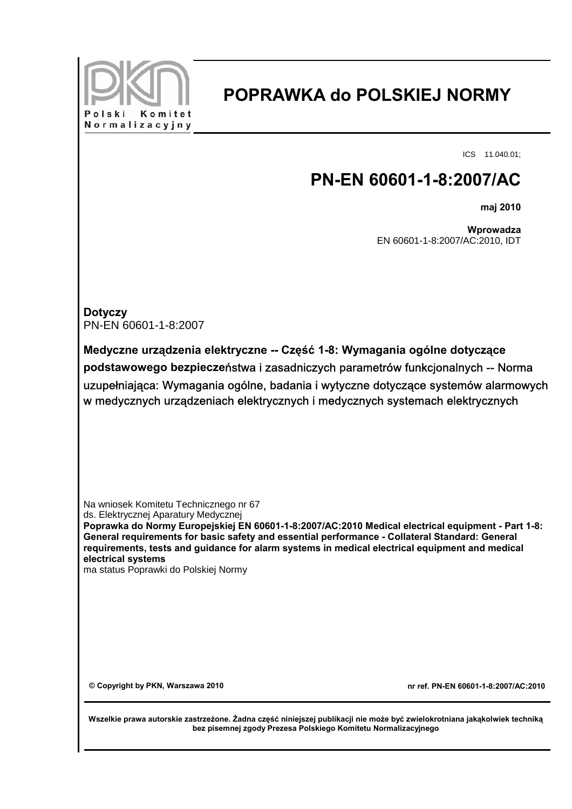

## **POPRAWKA do POLSKIEJ NORMY**

ICS 11.040.01;

## **PN-EN 60601-1-8:2007/AC**

**maj 2010**

**Wprowadza** EN 60601-1-8:2007/AC:2010, IDT

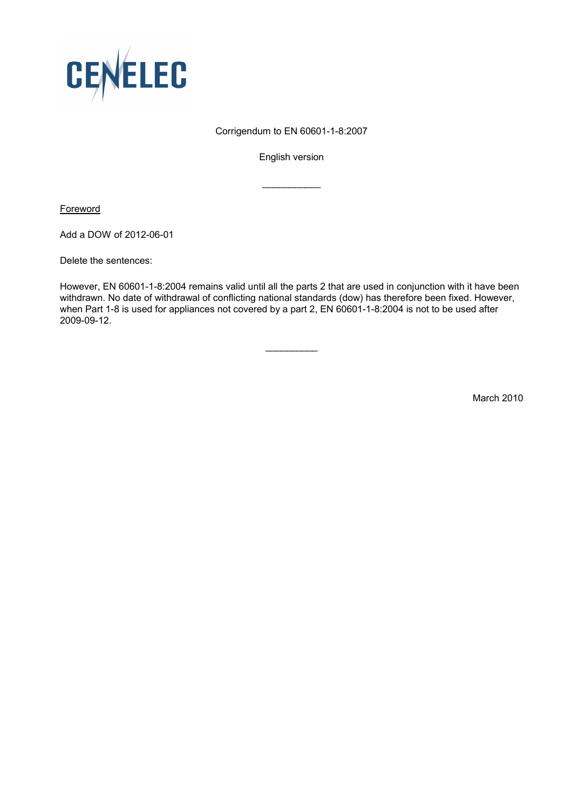

## Corrigendum to EN 60601-1-8:2007

English version

 $\frac{1}{2}$  ,  $\frac{1}{2}$  ,  $\frac{1}{2}$  ,  $\frac{1}{2}$  ,  $\frac{1}{2}$  ,  $\frac{1}{2}$  ,  $\frac{1}{2}$ 

**Foreword** 

Add a DOW of 2012-06-01

Delete the sentences:

However, EN 60601-1-8:2004 remains valid until all the parts 2 that are used in conjunction with it have been withdrawn. No date of withdrawal of conflicting national standards (dow) has therefore been fixed. However, when Part 1-8 is used for appliances not covered by a part 2, EN 60601-1-8:2004 is not to be used after 2009-09-12.

 $\overline{\phantom{a}}$ 

March 2010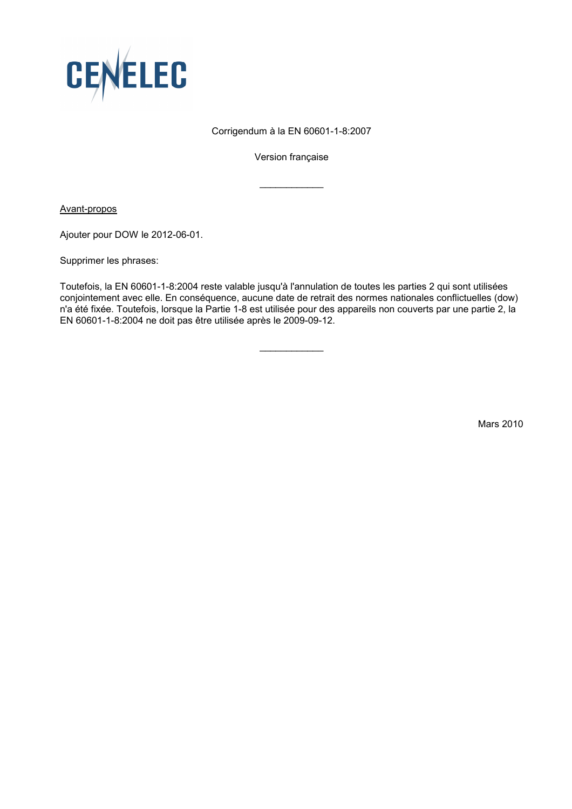

## Corrigendum à la EN 60601-1-8:2007

Version française

 $\frac{1}{2}$  ,  $\frac{1}{2}$  ,  $\frac{1}{2}$  ,  $\frac{1}{2}$  ,  $\frac{1}{2}$  ,  $\frac{1}{2}$  ,  $\frac{1}{2}$ 

Avant-propos

Ajouter pour DOW le 2012-06-01.

Supprimer les phrases:

Toutefois, la EN 60601-1-8:2004 reste valable jusqu'à l'annulation de toutes les parties 2 qui sont utilisées conjointement avec elle. En conséquence, aucune date de retrait des normes nationales conflictuelles (dow) n'a été fixée. Toutefois, lorsque la Partie 1-8 est utilisée pour des appareils non couverts par une partie 2, la EN 60601-1-8:2004 ne doit pas être utilisée après le 2009-09-12.

 $\overline{\phantom{a}}$ 

Mars 2010